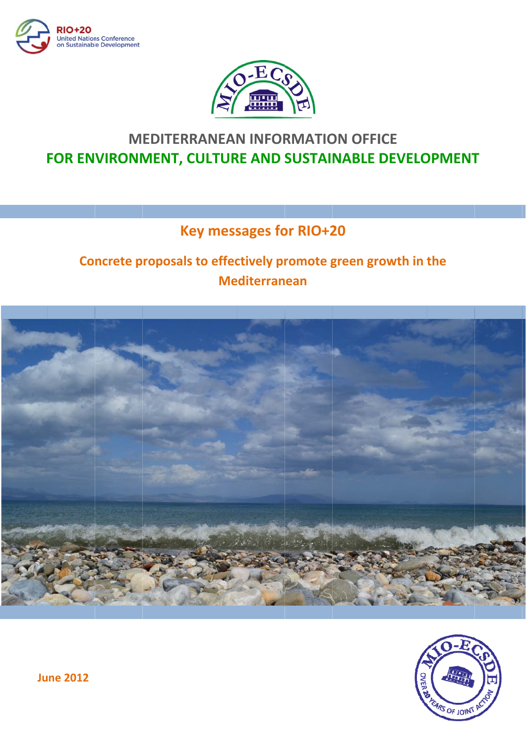



# **MEDITERRANEAN INFORMATION OFFICE** FOR ENVIRONMENT, CULTURE AND SUSTAINABLE DEVELOPMENT

## **Key messages for RIO+20**

## Concrete proposals to effectively promote green growth in the **Mediterranean**



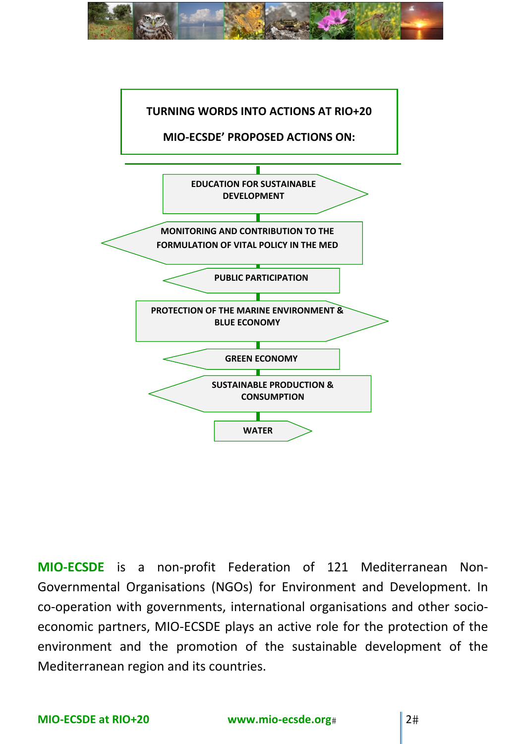



**MIO‐ECSDE** is a non‐profit Federation of 121 Mediterranean Non‐ Governmental Organisations (NGOs) for Environment and Development. In co-operation with governments, international organisations and other socioeconomic partners, MIO‐ECSDE plays an active role for the protection of the environment and the promotion of the sustainable development of the Mediterranean region and its countries.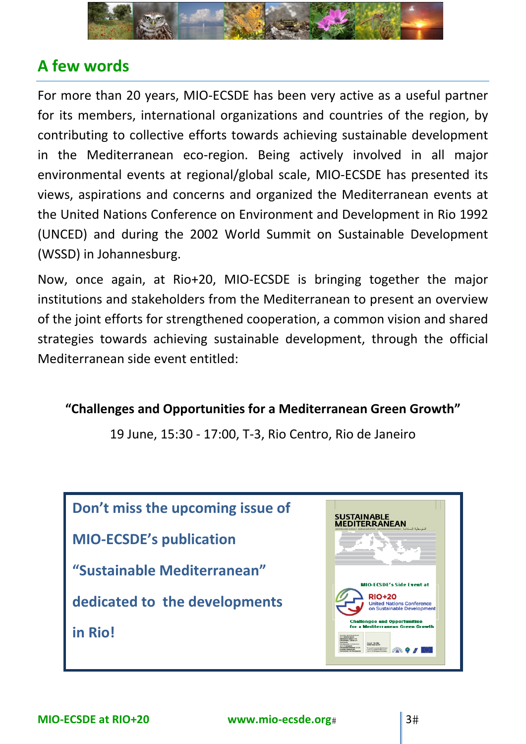

# **A few words**

For more than 20 years, MIO‐ECSDE has been very active as a useful partner for its members, international organizations and countries of the region, by contributing to collective efforts towards achieving sustainable development in the Mediterranean eco-region. Being actively involved in all major environmental events at regional/global scale, MIO‐ECSDE has presented its views, aspirations and concerns and organized the Mediterranean events at the United Nations Conference on Environment and Development in Rio 1992 (UNCED) and during the 2002 World Summit on Sustainable Development (WSSD) in Johannesburg.

Now, once again, at Rio+20, MIO‐ECSDE is bringing together the major institutions and stakeholders from the Mediterranean to present an overview of the joint efforts for strengthened cooperation, a common vision and shared strategies towards achieving sustainable development, through the official Mediterranean side event entitled:

**"Challenges and Opportunities for a Mediterranean Green Growth"**

19 June, 15:30 ‐ 17:00, T‐3, Rio Centro, Rio de Janeiro

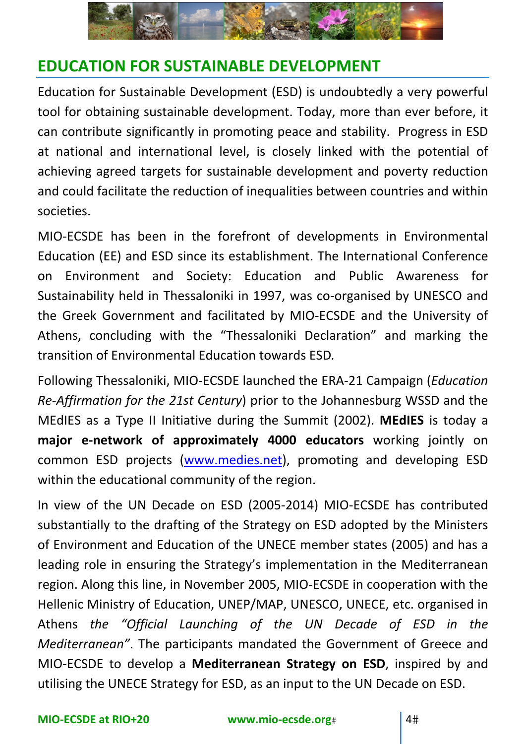

# **EDUCATION FOR SUSTAINABLE DEVELOPMENT**

Education for Sustainable Development (ESD) is undoubtedly a very powerful tool for obtaining sustainable development. Today, more than ever before, it can contribute significantly in promoting peace and stability. Progress in ESD at national and international level, is closely linked with the potential of achieving agreed targets for sustainable development and poverty reduction and could facilitate the reduction of inequalities between countries and within societies.

MIO‐ECSDE has been in the forefront of developments in Environmental Education (EE) and ESD since its establishment. The International Conference on Environment and Society: Education and Public Awareness for Sustainability held in Thessaloniki in 1997, was co‐organised by UNESCO and the Greek Government and facilitated by MIO‐ECSDE and the University of Athens, concluding with the "Thessaloniki Declaration" and marking the transition of Environmental Education towards ESD*.* 

Following Thessaloniki, MIO‐ECSDE launched the ERA‐21 Campaign (*Education Re‐Affirmation for the 21st Century*) prior to the Johannesburg WSSD and the MEdIES as a Type II Initiative during the Summit (2002). **MEdIES** is today a **major e‐network of approximately 4000 educators** working jointly on common ESD projects (www.medies.net), promoting and developing ESD within the educational community of the region.

In view of the UN Decade on ESD (2005‐2014) MIO‐ECSDE has contributed substantially to the drafting of the Strategy on ΕSD adopted by the Ministers of Environment and Education of the UNECE member states (2005) and has a leading role in ensuring the Strategy's implementation in the Mediterranean region. Along this line, in November 2005, MIO‐ECSDE in cooperation with the Hellenic Ministry of Education, UNEP/MAP, UNESCO, UNECE, etc. organised in Athens *the "Official Launching of the UN Decade of ESD in the Mediterranean"*. The participants mandated the Government of Greece and MIO‐ECSDE to develop a **Mediterranean Strategy on ESD**, inspired by and utilising the UNECE Strategy for ESD, as an input to the UN Decade on ESD.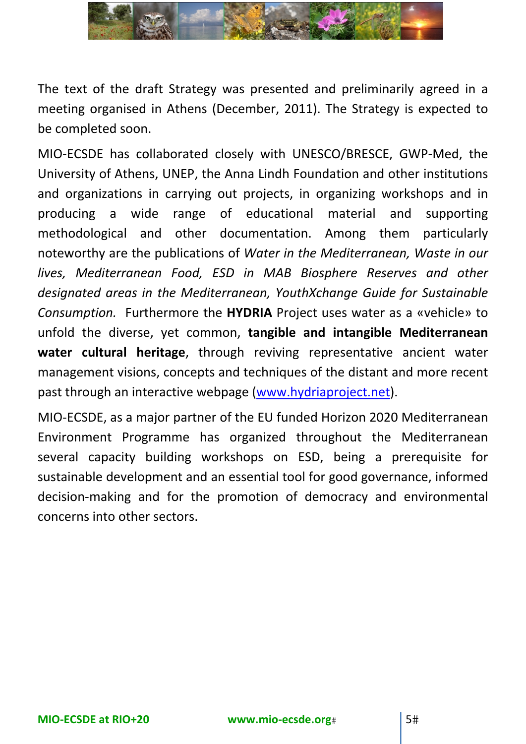

The text of the draft Strategy was presented and preliminarily agreed in a meeting organised in Athens (December, 2011). The Strategy is expected to be completed soon.

MIO‐ECSDE has collaborated closely with UNESCO/BRESCE, GWP‐Med, the University of Athens, UNEP, the Anna Lindh Foundation and other institutions and organizations in carrying out projects, in organizing workshops and in producing a wide range of educational material and supporting methodological and other documentation. Among them particularly noteworthy are the publications of *Water in the Mediterranean, Waste in our lives, Mediterranean Food, ESD in MAB Biosphere Reserves and other designated areas in the Mediterranean, YouthXchange Guide for Sustainable Consumption.* Furthermore the **HYDRIA** Project uses water as a «vehicle» to unfold the diverse, yet common, **tangible and intangible Mediterranean water cultural heritage**, through reviving representative ancient water management visions, concepts and techniques of the distant and more recent past through an interactive webpage (www.hydriaproject.net).

MIO‐ECSDE, as a major partner of the EU funded Horizon 2020 Mediterranean Environment Programme has organized throughout the Mediterranean several capacity building workshops on ESD, being a prerequisite for sustainable development and an essential tool for good governance, informed decision‐making and for the promotion of democracy and environmental concerns into other sectors.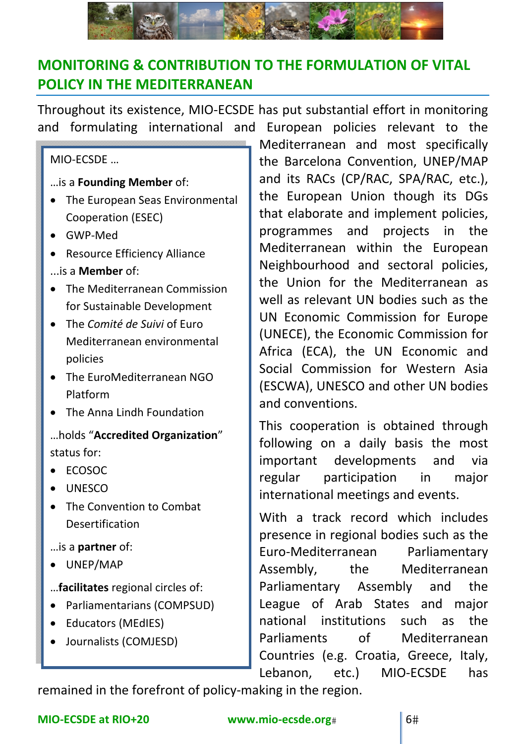

### **MONITORING & CONTRIBUTION TO THE FORMULATION OF VITAL POLICY IN THE MEDITERRANEAN**

Throughout its existence, MIO‐ECSDE has put substantial effort in monitoring and formulating international and European policies relevant to the

### MIO‐ECSDE …

- …is a **Founding Member** of:
- The European Seas Environmental Cooperation (ESEC)
- GWP‐Med
- Resource Efficiency Alliance
- ...is a **Member** of:
- The Mediterranean Commission for Sustainable Development
- The *Comité de Suivi* of Euro Mediterranean environmental policies
- The EuroMediterranean NGO Platform
- The Anna Lindh Foundation
- …holds "**Accredited Organization**" status for:
- ECOSOC
- UNESCO
- The Convention to Combat Desertification
- …is a **partner** of:
- UNEP/MAP
- …**facilitates** regional circles of:
- Parliamentarians (COMPSUD)
- Educators (MEdIES)
- Journalists (COMJESD)

Mediterranean and most specifically the Barcelona Convention, UNEP/MAP and its RACs (CP/RAC, SPA/RAC, etc.), the European Union though its DGs that elaborate and implement policies, programmes and projects in the Mediterranean within the European Neighbourhood and sectoral policies, the Union for the Mediterranean as well as relevant UN bodies such as the UN Economic Commission for Europe (UNECE), the Economic Commission for Africa (ECA), the UN Economic and Social Commission for Western Asia (ESCWA), UNESCO and other UN bodies and conventions.

This cooperation is obtained through following on a daily basis the most important developments and via regular participation in major international meetings and events.

With a track record which includes presence in regional bodies such as the Euro‐Mediterranean Parliamentary Assembly, the Mediterranean Parliamentary Assembly and the League of Arab States and major national institutions such as the Parliaments of Mediterranean Countries (e.g. Croatia, Greece, Italy, Lebanon, etc.) MIO-ECSDE has

remained in the forefront of policy-making in the region.

### **MIO‐ECSDE at RIO+20 www.mio‐ecsde.org** 6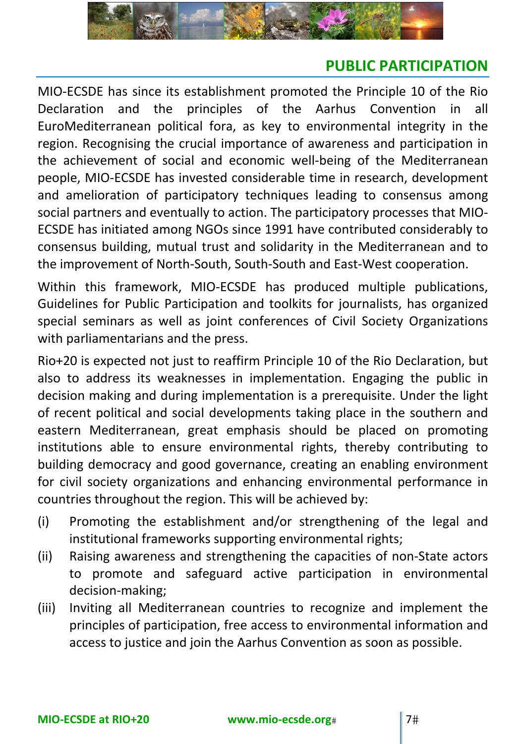

### **PUBLIC PARTICIPATION**

MIO‐ECSDE has since its establishment promoted the Principle 10 of the Rio Declaration and the principles of the Aarhus Convention in all EuroMediterranean political fora, as key to environmental integrity in the region. Recognising the crucial importance of awareness and participation in the achievement of social and economic well‐being of the Mediterranean people, MIO‐ECSDE has invested considerable time in research, development and amelioration of participatory techniques leading to consensus among social partners and eventually to action. The participatory processes that MIO‐ ECSDE has initiated among NGOs since 1991 have contributed considerably to consensus building, mutual trust and solidarity in the Mediterranean and to the improvement of North‐South, South‐South and East‐West cooperation.

Within this framework, MIO‐ECSDE has produced multiple publications, Guidelines for Public Participation and toolkits for journalists, has organized special seminars as well as joint conferences of Civil Society Organizations with parliamentarians and the press.

Rio+20 is expected not just to reaffirm Principle 10 of the Rio Declaration, but also to address its weaknesses in implementation. Engaging the public in decision making and during implementation is a prerequisite. Under the light of recent political and social developments taking place in the southern and eastern Mediterranean, great emphasis should be placed on promoting institutions able to ensure environmental rights, thereby contributing to building democracy and good governance, creating an enabling environment for civil society organizations and enhancing environmental performance in countries throughout the region. This will be achieved by:

- (i) Promoting the establishment and/or strengthening of the legal and institutional frameworks supporting environmental rights;
- (ii) Raising awareness and strengthening the capacities of non‐State actors to promote and safeguard active participation in environmental decision‐making;
- (iii) Inviting all Mediterranean countries to recognize and implement the principles of participation, free access to environmental information and access to justice and join the Aarhus Convention as soon as possible.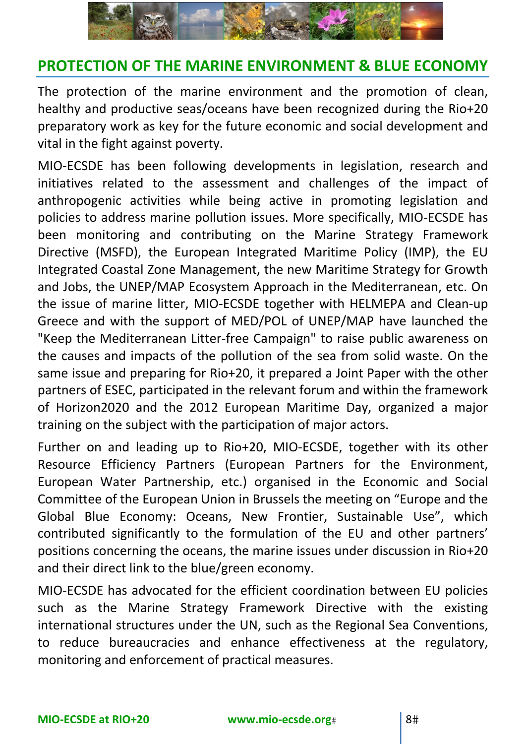

### **PROTECTION OF THE MARINE ENVIRONMENT & BLUE ECONOMY**

The protection of the marine environment and the promotion of clean, healthy and productive seas/oceans have been recognized during the Rio+20 preparatory work as key for the future economic and social development and vital in the fight against poverty.

MIO‐ECSDE has been following developments in legislation, research and initiatives related to the assessment and challenges of the impact of anthropogenic activities while being active in promoting legislation and policies to address marine pollution issues. More specifically, MIO‐ECSDE has been monitoring and contributing on the Marine Strategy Framework Directive (MSFD), the European Integrated Maritime Policy (IMP), the EU Integrated Coastal Zone Management, the new Maritime Strategy for Growth and Jobs, the UNEP/MAP Ecosystem Approach in the Mediterranean, etc. On the issue of marine litter, MIO‐ECSDE together with HELMEPA and Clean‐up Greece and with the support of MED/POL of UNEP/MAP have launched the "Keep the Mediterranean Litter‐free Campaign" to raise public awareness on the causes and impacts of the pollution of the sea from solid waste. On the same issue and preparing for Rio+20, it prepared a Joint Paper with the other partners of ESEC, participated in the relevant forum and within the framework of Horizon2020 and the 2012 European Maritime Day, organized a major training on the subject with the participation of major actors.

Further on and leading up to Rio+20, MIO‐ECSDE, together with its other Resource Efficiency Partners (European Partners for the Environment, European Water Partnership, etc.) organised in the Economic and Social Committee of the European Union in Brussels the meeting on "Europe and the Global Blue Economy: Oceans, New Frontier, Sustainable Use", which contributed significantly to the formulation of the EU and other partners' positions concerning the oceans, the marine issues under discussion in Rio+20 and their direct link to the blue/green economy.

MIO‐ECSDE has advocated for the efficient coordination between EU policies such as the Marine Strategy Framework Directive with the existing international structures under the UN, such as the Regional Sea Conventions, to reduce bureaucracies and enhance effectiveness at the regulatory, monitoring and enforcement of practical measures.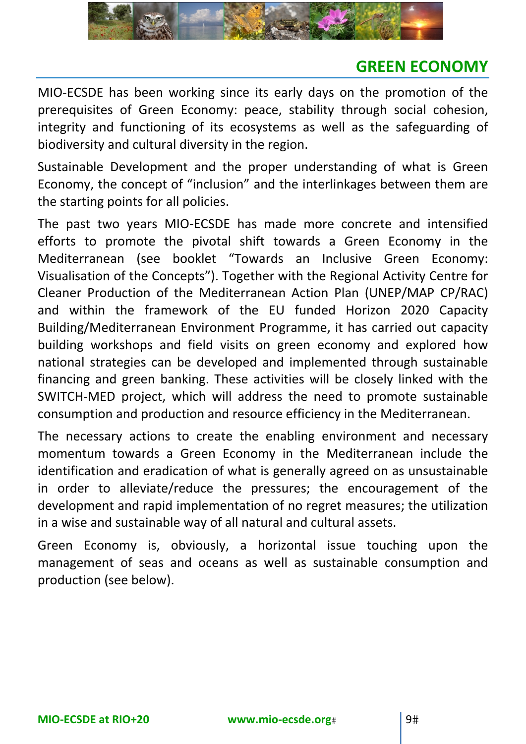

# **GREEN ECONOMY**

MIO‐ECSDE has been working since its early days on the promotion of the prerequisites of Green Economy: peace, stability through social cohesion, integrity and functioning of its ecosystems as well as the safeguarding of biodiversity and cultural diversity in the region.

Sustainable Development and the proper understanding of what is Green Economy, the concept of "inclusion" and the interlinkages between them are the starting points for all policies.

The past two years MIO‐ECSDE has made more concrete and intensified efforts to promote the pivotal shift towards a Green Economy in the Mediterranean (see booklet "Towards an Inclusive Green Economy: Visualisation of the Concepts"). Together with the Regional Activity Centre for Cleaner Production of the Mediterranean Action Plan (UNEP/MAP CP/RAC) and within the framework of the EU funded Horizon 2020 Capacity Building/Mediterranean Environment Programme, it has carried out capacity building workshops and field visits on green economy and explored how national strategies can be developed and implemented through sustainable financing and green banking. These activities will be closely linked with the SWITCH‐MED project, which will address the need to promote sustainable consumption and production and resource efficiency in the Mediterranean.

The necessary actions to create the enabling environment and necessary momentum towards a Green Economy in the Mediterranean include the identification and eradication of what is generally agreed on as unsustainable in order to alleviate/reduce the pressures; the encouragement of the development and rapid implementation of no regret measures; the utilization in a wise and sustainable way of all natural and cultural assets.

Green Economy is, obviously, a horizontal issue touching upon the management of seas and oceans as well as sustainable consumption and production (see below).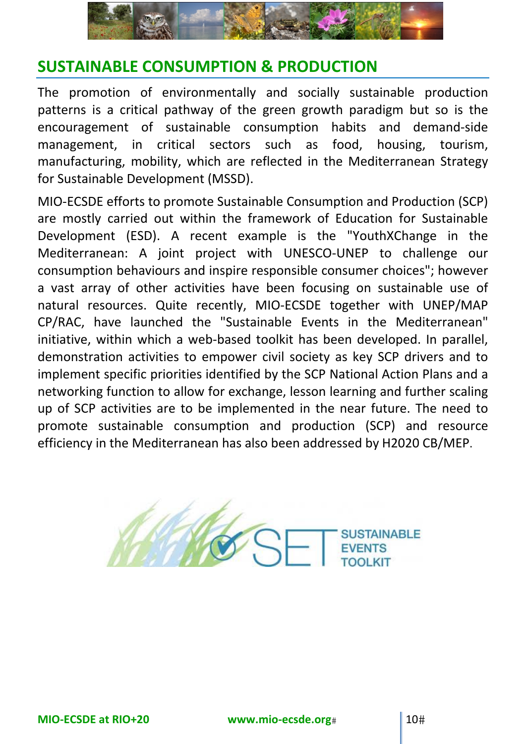

# **SUSTAINABLE CONSUMPTION & PRODUCTION**

The promotion of environmentally and socially sustainable production patterns is a critical pathway of the green growth paradigm but so is the encouragement of sustainable consumption habits and demand‐side management, in critical sectors such as food, housing, tourism, manufacturing, mobility, which are reflected in the Mediterranean Strategy for Sustainable Development (MSSD).

MIO‐ECSDE efforts to promote Sustainable Consumption and Production (SCP) are mostly carried out within the framework of Education for Sustainable Development (ESD). A recent example is the "YouthXChange in the Mediterranean: A joint project with UNESCO‐UNEP to challenge our consumption behaviours and inspire responsible consumer choices"; however a vast array of other activities have been focusing on sustainable use of natural resources. Quite recently, MIO‐ECSDE together with UNEP/MAP CP/RAC, have launched the "Sustainable Events in the Mediterranean" initiative, within which a web-based toolkit has been developed. In parallel, demonstration activities to empower civil society as key SCP drivers and to implement specific priorities identified by the SCP National Action Plans and a networking function to allow for exchange, lesson learning and further scaling up of SCP activities are to be implemented in the near future. The need to promote sustainable consumption and production (SCP) and resource efficiency in the Mediterranean has also been addressed by H2020 CB/MEP.

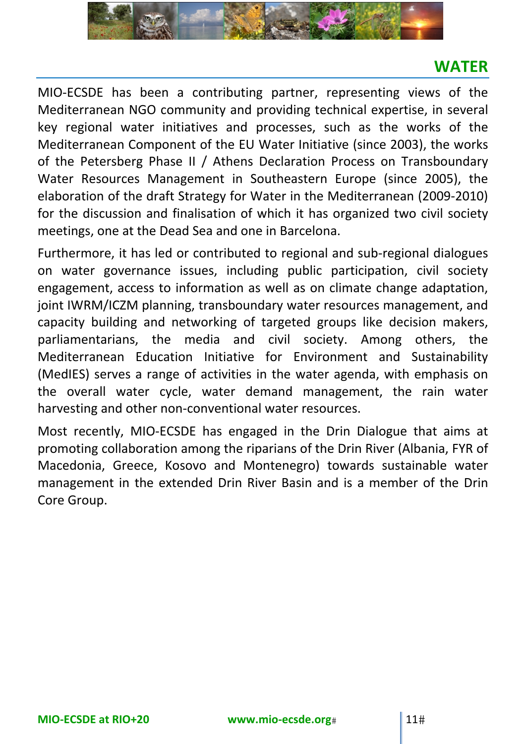

# **WATER**

MIO‐ECSDE has been a contributing partner, representing views of the Mediterranean NGO community and providing technical expertise, in several key regional water initiatives and processes, such as the works of the Mediterranean Component of the EU Water Initiative (since 2003), the works of the Petersberg Phase II / Athens Declaration Process on Transboundary Water Resources Management in Southeastern Europe (since 2005), the elaboration of the draft Strategy for Water in the Mediterranean (2009‐2010) for the discussion and finalisation of which it has organized two civil society meetings, one at the Dead Sea and one in Barcelona.

Furthermore, it has led or contributed to regional and sub‐regional dialogues on water governance issues, including public participation, civil society engagement, access to information as well as on climate change adaptation, joint IWRM/ICZM planning, transboundary water resources management, and capacity building and networking of targeted groups like decision makers, parliamentarians, the media and civil society. Among others, the Mediterranean Education Initiative for Environment and Sustainability (MedIES) serves a range of activities in the water agenda, with emphasis on the overall water cycle, water demand management, the rain water harvesting and other non‐conventional water resources.

Most recently, MIO‐ECSDE has engaged in the Drin Dialogue that aims at promoting collaboration among the riparians of the Drin River (Albania, FYR of Macedonia, Greece, Kosovo and Montenegro) towards sustainable water management in the extended Drin River Basin and is a member of the Drin Core Group.